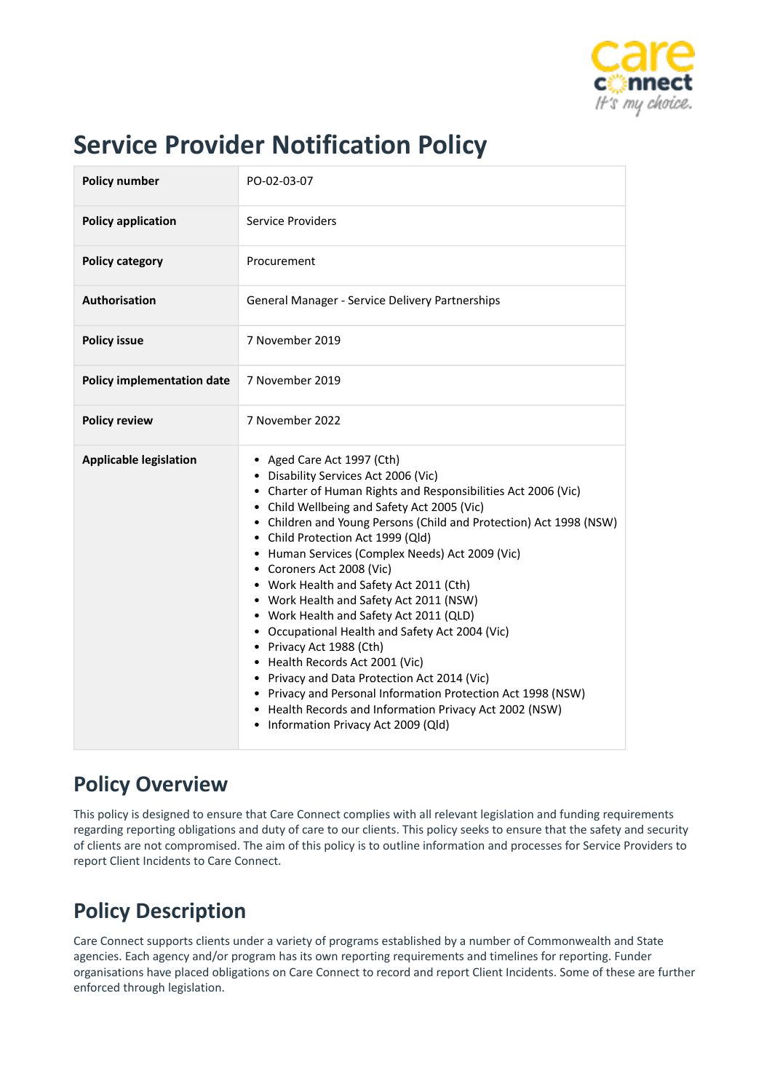

# **Service Provider Notification Policy**

# **Policy Overview**

This policy is designed to ensure that Care Connect complies with all relevant legislation and funding requirements regarding reporting obligations and duty of care to our clients. This policy seeks to ensure that the safety and security of clients are not compromised. The aim of this policy is to outline information and processes for Service Providers to report Client Incidents to Care Connect.

# **Policy Description**

Care Connect supports clients under a variety of programs established by a number of Commonwealth and State agencies. Each agency and/or program has its own reporting requirements and timelines for reporting. Funder organisations have placed obligations on Care Connect to record and report Client Incidents. Some of these are further enforced through legislation.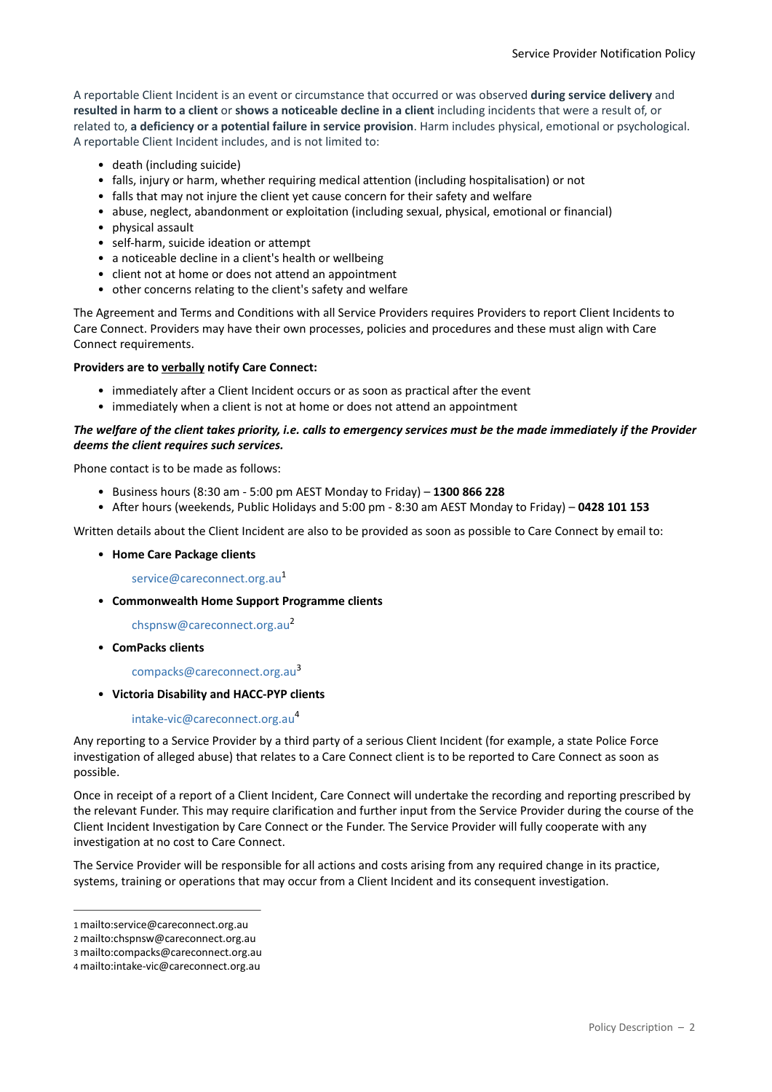A reportable Client Incident is an event or circumstance that occurred or was observed **during service delivery** and **resulted in harm to a client** or **shows a noticeable decline in a client** including incidents that were a result of, or related to, **a deficiency or a potential failure in service provision**. Harm includes physical, emotional or psychological. A reportable Client Incident includes, and is not limited to:

- death (including suicide)
- falls, injury or harm, whether requiring medical attention (including hospitalisation) or not
- falls that may not injure the client yet cause concern for their safety and welfare
- abuse, neglect, abandonment or exploitation (including sexual, physical, emotional or financial)
- physical assault
- self-harm, suicide ideation or attempt
- a noticeable decline in a client's health or wellbeing
- client not at home or does not attend an appointment
- other concerns relating to the client's safety and welfare

The Agreement and Terms and Conditions with all Service Providers requires Providers to report Client Incidents to Care Connect. Providers may have their own processes, policies and procedures and these must align with Care Connect requirements.

#### **Providers are to verbally notify Care Connect:**

- immediately after a Client Incident occurs or as soon as practical after the event
- immediately when a client is not at home or does not attend an appointment

#### *The welfare of the client takes priority, i.e. calls to emergency services must be the made immediately if the Provider deems the client requires such services.*

Phone contact is to be made as follows:

- Business hours (8:30 am 5:00 pm AEST Monday to Friday) **1300 866 228**
- After hours (weekends, Public Holidays and 5:00 pm 8:30 am AEST Monday to Friday) **0428 101 153**

Written details about the Client Incident are also to be provided as soon as possible to Care Connect by email to:

• **Home Care Package clients**

[service@careconnect.org.au](mailto:service@careconnect.org.au)<sup>[1](mailto:service@careconnect.org.au)</sup>

• **Commonwealth Home Support Programme clients**

[chspnsw@careconnect.org.au](mailto:chspnsw@careconnect.org.au)<sup>[2](mailto:chspnsw@careconnect.org.au)</sup>

• **ComPacks clients**

[compacks@careconnect.org.au](mailto:compacks@careconnect.org.au)[3](mailto:compacks@careconnect.org.au)

• **Victoria Disability and HACC-PYP clients**

#### [intake-vic@careconnect.org.au](mailto:intake-vic@careconnect.org.au)<sup>[4](mailto:intake-vic@careconnect.org.au)</sup>

Any reporting to a Service Provider by a third party of a serious Client Incident (for example, a state Police Force investigation of alleged abuse) that relates to a Care Connect client is to be reported to Care Connect as soon as possible.

Once in receipt of a report of a Client Incident, Care Connect will undertake the recording and reporting prescribed by the relevant Funder. This may require clarification and further input from the Service Provider during the course of the Client Incident Investigation by Care Connect or the Funder. The Service Provider will fully cooperate with any investigation at no cost to Care Connect.

The Service Provider will be responsible for all actions and costs arising from any required change in its practice, systems, training or operations that may occur from a Client Incident and its consequent investigation.

<sup>1</sup> mailto:service@careconnect.org.au

<sup>2</sup> mailto:chspnsw@careconnect.org.au

<sup>3</sup> mailto:compacks@careconnect.org.au

<sup>4</sup> mailto:intake-vic@careconnect.org.au